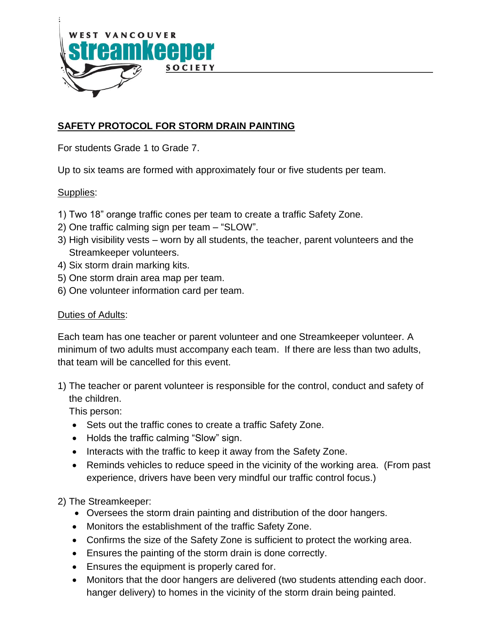

# **SAFETY PROTOCOL FOR STORM DRAIN PAINTING**

For students Grade 1 to Grade 7.

Up to six teams are formed with approximately four or five students per team.

#### Supplies:

- 1) Two 18" orange traffic cones per team to create a traffic Safety Zone.
- 2) One traffic calming sign per team "SLOW".
- 3) High visibility vests worn by all students, the teacher, parent volunteers and the Streamkeeper volunteers.
- 4) Six storm drain marking kits.
- 5) One storm drain area map per team.
- 6) One volunteer information card per team.

#### Duties of Adults:

Each team has one teacher or parent volunteer and one Streamkeeper volunteer. A minimum of two adults must accompany each team. If there are less than two adults, that team will be cancelled for this event.

1) The teacher or parent volunteer is responsible for the control, conduct and safety of the children.

This person:

- Sets out the traffic cones to create a traffic Safety Zone.
- Holds the traffic calming "Slow" sign.
- Interacts with the traffic to keep it away from the Safety Zone.
- Reminds vehicles to reduce speed in the vicinity of the working area. (From past experience, drivers have been very mindful our traffic control focus.)

2) The Streamkeeper:

- Oversees the storm drain painting and distribution of the door hangers.
- Monitors the establishment of the traffic Safety Zone.
- Confirms the size of the Safety Zone is sufficient to protect the working area.
- Ensures the painting of the storm drain is done correctly.
- Ensures the equipment is properly cared for.
- Monitors that the door hangers are delivered (two students attending each door. hanger delivery) to homes in the vicinity of the storm drain being painted.